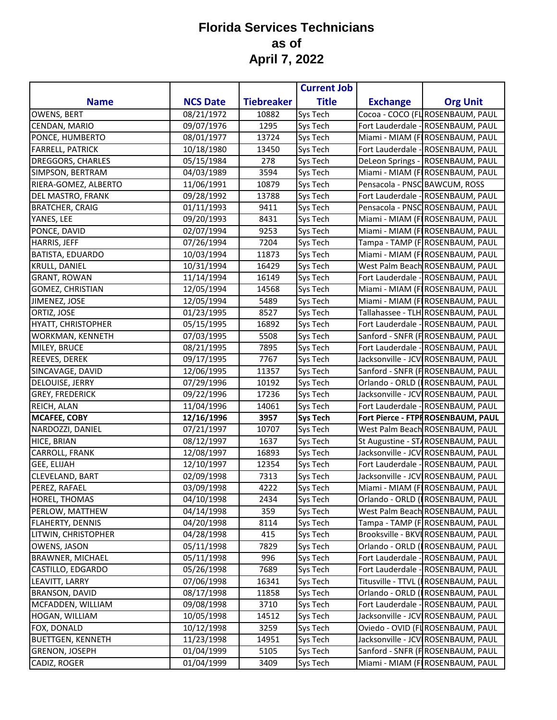## **Florida Services Technicians as of April 7, 2022**

|                          |                 |                   | <b>Current Job</b> |                               |                                           |
|--------------------------|-----------------|-------------------|--------------------|-------------------------------|-------------------------------------------|
| <b>Name</b>              | <b>NCS Date</b> | <b>Tiebreaker</b> | <b>Title</b>       | <b>Exchange</b>               | <b>Org Unit</b>                           |
| OWENS, BERT              | 08/21/1972      | 10882             | Sys Tech           |                               | Cocoa - COCO (FLROSENBAUM, PAUL           |
| CENDAN, MARIO            | 09/07/1976      | 1295              | Sys Tech           |                               | Fort Lauderdale - ROSENBAUM, PAUL         |
| PONCE, HUMBERTO          | 08/01/1977      | 13724             | Sys Tech           |                               | Miami - MIAM (FIROSENBAUM, PAUL           |
| <b>FARRELL, PATRICK</b>  | 10/18/1980      | 13450             | Sys Tech           |                               | Fort Lauderdale - ROSENBAUM, PAUL         |
| DREGGORS, CHARLES        | 05/15/1984      | 278               | Sys Tech           |                               | DeLeon Springs - ROSENBAUM, PAUL          |
| SIMPSON, BERTRAM         | 04/03/1989      | 3594              | Sys Tech           |                               | Miami - MIAM (FIROSENBAUM, PAUL           |
| RIERA-GOMEZ, ALBERTO     | 11/06/1991      | 10879             | Sys Tech           | Pensacola - PNSC BAWCUM, ROSS |                                           |
| DEL MASTRO, FRANK        | 09/28/1992      | 13788             | Sys Tech           |                               | Fort Lauderdale - ROSENBAUM, PAUL         |
| <b>BRATCHER, CRAIG</b>   | 01/11/1993      | 9411              | Sys Tech           |                               | Pensacola - PNSC ROSENBAUM, PAUL          |
| YANES, LEE               | 09/20/1993      | 8431              | Sys Tech           |                               | Miami - MIAM (FIROSENBAUM, PAUL           |
| PONCE, DAVID             | 02/07/1994      | 9253              | Sys Tech           |                               | Miami - MIAM (FIROSENBAUM, PAUL           |
| HARRIS, JEFF             | 07/26/1994      | 7204              | Sys Tech           |                               | Tampa - TAMP (FROSENBAUM, PAUL            |
| BATISTA, EDUARDO         | 10/03/1994      | 11873             | Sys Tech           |                               | Miami - MIAM (FIROSENBAUM, PAUL           |
| KRULL, DANIEL            | 10/31/1994      | 16429             | Sys Tech           |                               | West Palm Beach ROSENBAUM, PAUL           |
| <b>GRANT, ROWAN</b>      | 11/14/1994      | 16149             | Sys Tech           |                               | Fort Lauderdale - ROSENBAUM, PAUL         |
| GOMEZ, CHRISTIAN         | 12/05/1994      | 14568             | Sys Tech           |                               | Miami - MIAM (FIROSENBAUM, PAUL           |
| JIMENEZ, JOSE            | 12/05/1994      | 5489              | Sys Tech           |                               | Miami - MIAM (FIROSENBAUM, PAUL           |
| ORTIZ, JOSE              | 01/23/1995      | 8527              | Sys Tech           |                               | Tallahassee - TLH ROSENBAUM, PAUL         |
| HYATT, CHRISTOPHER       | 05/15/1995      | 16892             | Sys Tech           |                               | Fort Lauderdale - ROSENBAUM, PAUL         |
| WORKMAN, KENNETH         | 07/03/1995      | 5508              | Sys Tech           |                               | Sanford - SNFR (FROSENBAUM, PAUL          |
| MILEY, BRUCE             | 08/21/1995      | 7895              | Sys Tech           |                               | Fort Lauderdale - ROSENBAUM, PAUL         |
| REEVES, DEREK            | 09/17/1995      | 7767              | Sys Tech           |                               | Jacksonville - JCV ROSENBAUM, PAUL        |
| SINCAVAGE, DAVID         | 12/06/1995      | 11357             | Sys Tech           |                               | Sanford - SNFR (FROSENBAUM, PAUL          |
| DELOUISE, JERRY          | 07/29/1996      | 10192             | Sys Tech           |                               | Orlando - ORLD ( <b> </b> ROSENBAUM, PAUL |
| <b>GREY, FREDERICK</b>   | 09/22/1996      | 17236             | Sys Tech           |                               | Jacksonville - JCV ROSENBAUM, PAUL        |
| REICH, ALAN              | 11/04/1996      | 14061             | Sys Tech           |                               | Fort Lauderdale - ROSENBAUM, PAUL         |
| <b>MCAFEE, COBY</b>      | 12/16/1996      | 3957              | <b>Sys Tech</b>    |                               | Fort Pierce - FTPF ROSENBAUM, PAUL        |
| NARDOZZI, DANIEL         | 07/21/1997      | 10707             | Sys Tech           |                               | West Palm Beach ROSENBAUM, PAUL           |
| HICE, BRIAN              | 08/12/1997      | 1637              | Sys Tech           |                               | St Augustine - ST4ROSENBAUM, PAUL         |
| CARROLL, FRANK           | 12/08/1997      | 16893             | Sys Tech           |                               | Jacksonville - JCV ROSENBAUM, PAUL        |
| <b>GEE, ELIJAH</b>       | 12/10/1997      | 12354             | Sys Tech           |                               | Fort Lauderdale - ROSENBAUM, PAUL         |
| CLEVELAND, BART          | 02/09/1998      | 7313              | Sys Tech           |                               | Jacksonville - JCV ROSENBAUM, PAUL        |
| PEREZ, RAFAEL            | 03/09/1998      | 4222              | Sys Tech           |                               | Miami - MIAM (F ROSENBAUM, PAUL           |
| HOREL, THOMAS            | 04/10/1998      | 2434              | Sys Tech           |                               | Orlando - ORLD (IROSENBAUM, PAUL          |
| PERLOW, MATTHEW          | 04/14/1998      | 359               | Sys Tech           |                               | West Palm Beach ROSENBAUM, PAUL           |
| <b>FLAHERTY, DENNIS</b>  | 04/20/1998      | 8114              | Sys Tech           |                               | Tampa - TAMP (F ROSENBAUM, PAUL           |
| LITWIN, CHRISTOPHER      | 04/28/1998      | 415               | Sys Tech           |                               | Brooksville - BKVIROSENBAUM, PAUL         |
| OWENS, JASON             | 05/11/1998      | 7829              | Sys Tech           |                               | Orlando - ORLD (IROSENBAUM, PAUL          |
| <b>BRAWNER, MICHAEL</b>  | 05/11/1998      | 996               | Sys Tech           |                               | Fort Lauderdale - ROSENBAUM, PAUL         |
| CASTILLO, EDGARDO        | 05/26/1998      | 7689              | Sys Tech           |                               | Fort Lauderdale - ROSENBAUM, PAUL         |
| LEAVITT, LARRY           | 07/06/1998      | 16341             | Sys Tech           |                               | Titusville - TTVL (IROSENBAUM, PAUL       |
| <b>BRANSON, DAVID</b>    | 08/17/1998      | 11858             | Sys Tech           |                               | Orlando - ORLD (IROSENBAUM, PAUL          |
| MCFADDEN, WILLIAM        | 09/08/1998      | 3710              | Sys Tech           |                               | Fort Lauderdale - ROSENBAUM, PAUL         |
| HOGAN, WILLIAM           | 10/05/1998      | 14512             | Sys Tech           |                               | Jacksonville - JCV ROSENBAUM, PAUL        |
| FOX, DONALD              | 10/12/1998      | 3259              | Sys Tech           |                               | Oviedo - OVID (FLROSENBAUM, PAUL          |
| <b>BUETTGEN, KENNETH</b> | 11/23/1998      | 14951             | Sys Tech           |                               | Jacksonville - JCV ROSENBAUM, PAUL        |
| <b>GRENON, JOSEPH</b>    | 01/04/1999      | 5105              | Sys Tech           |                               | Sanford - SNFR (FROSENBAUM, PAUL          |
| CADIZ, ROGER             | 01/04/1999      | 3409              | Sys Tech           |                               | Miami - MIAM (FIROSENBAUM, PAUL           |